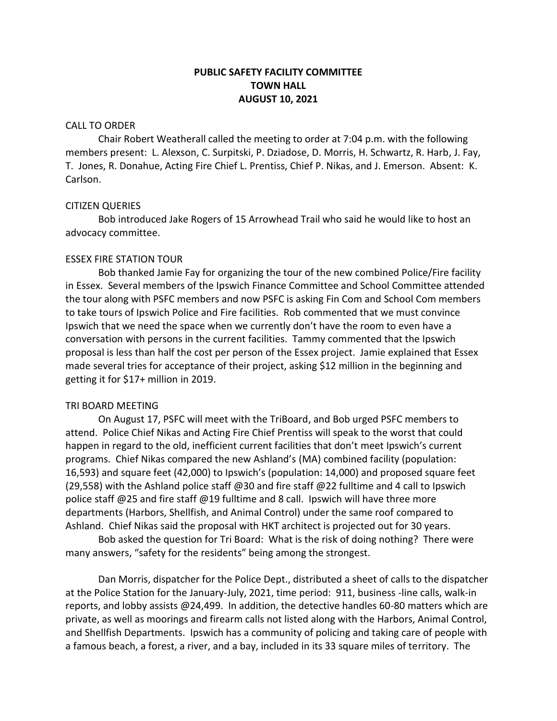# **PUBLIC SAFETY FACILITY COMMITTEE TOWN HALL AUGUST 10, 2021**

### CALL TO ORDER

Chair Robert Weatherall called the meeting to order at 7:04 p.m. with the following members present: L. Alexson, C. Surpitski, P. Dziadose, D. Morris, H. Schwartz, R. Harb, J. Fay, T. Jones, R. Donahue, Acting Fire Chief L. Prentiss, Chief P. Nikas, and J. Emerson. Absent: K. Carlson.

### CITIZEN QUERIES

Bob introduced Jake Rogers of 15 Arrowhead Trail who said he would like to host an advocacy committee.

#### ESSEX FIRE STATION TOUR

Bob thanked Jamie Fay for organizing the tour of the new combined Police/Fire facility in Essex. Several members of the Ipswich Finance Committee and School Committee attended the tour along with PSFC members and now PSFC is asking Fin Com and School Com members to take tours of Ipswich Police and Fire facilities. Rob commented that we must convince Ipswich that we need the space when we currently don't have the room to even have a conversation with persons in the current facilities. Tammy commented that the Ipswich proposal is less than half the cost per person of the Essex project. Jamie explained that Essex made several tries for acceptance of their project, asking \$12 million in the beginning and getting it for \$17+ million in 2019.

### TRI BOARD MEETING

On August 17, PSFC will meet with the TriBoard, and Bob urged PSFC members to attend. Police Chief Nikas and Acting Fire Chief Prentiss will speak to the worst that could happen in regard to the old, inefficient current facilities that don't meet Ipswich's current programs. Chief Nikas compared the new Ashland's (MA) combined facility (population: 16,593) and square feet (42,000) to Ipswich's (population: 14,000) and proposed square feet (29,558) with the Ashland police staff @30 and fire staff @22 fulltime and 4 call to Ipswich police staff @25 and fire staff @19 fulltime and 8 call. Ipswich will have three more departments (Harbors, Shellfish, and Animal Control) under the same roof compared to Ashland. Chief Nikas said the proposal with HKT architect is projected out for 30 years.

Bob asked the question for Tri Board: What is the risk of doing nothing? There were many answers, "safety for the residents" being among the strongest.

Dan Morris, dispatcher for the Police Dept., distributed a sheet of calls to the dispatcher at the Police Station for the January-July, 2021, time period: 911, business -line calls, walk-in reports, and lobby assists @24,499. In addition, the detective handles 60-80 matters which are private, as well as moorings and firearm calls not listed along with the Harbors, Animal Control, and Shellfish Departments. Ipswich has a community of policing and taking care of people with a famous beach, a forest, a river, and a bay, included in its 33 square miles of territory. The